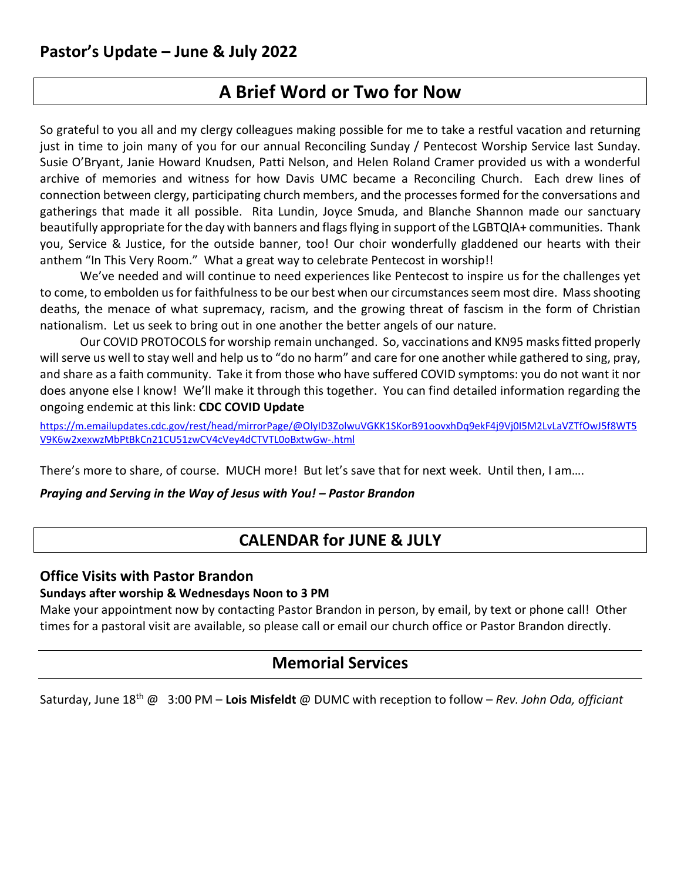# **A Brief Word or Two for Now**

So grateful to you all and my clergy colleagues making possible for me to take a restful vacation and returning just in time to join many of you for our annual Reconciling Sunday / Pentecost Worship Service last Sunday. Susie O'Bryant, Janie Howard Knudsen, Patti Nelson, and Helen Roland Cramer provided us with a wonderful archive of memories and witness for how Davis UMC became a Reconciling Church. Each drew lines of connection between clergy, participating church members, and the processes formed for the conversations and gatherings that made it all possible. Rita Lundin, Joyce Smuda, and Blanche Shannon made our sanctuary beautifully appropriate for the day with banners and flags flying in support of the LGBTQIA+ communities. Thank you, Service & Justice, for the outside banner, too! Our choir wonderfully gladdened our hearts with their anthem "In This Very Room." What a great way to celebrate Pentecost in worship!!

We've needed and will continue to need experiences like Pentecost to inspire us for the challenges yet to come, to embolden us for faithfulness to be our best when our circumstances seem most dire. Mass shooting deaths, the menace of what supremacy, racism, and the growing threat of fascism in the form of Christian nationalism. Let us seek to bring out in one another the better angels of our nature.

Our COVID PROTOCOLS for worship remain unchanged. So, vaccinations and KN95 masks fitted properly will serve us well to stay well and help us to "do no harm" and care for one another while gathered to sing, pray, and share as a faith community. Take it from those who have suffered COVID symptoms: you do not want it nor does anyone else I know! We'll make it through this together. You can find detailed information regarding the ongoing endemic at this link: **CDC COVID Update**

[https://m.emailupdates.cdc.gov/rest/head/mirrorPage/@OlyID3ZolwuVGKK1SKorB91oovxhDq9ekF4j9Vj0I5M2LvLaVZTfOwJ5f8WT5](https://m.emailupdates.cdc.gov/rest/head/mirrorPage/@OlyID3ZolwuVGKK1SKorB91oovxhDq9ekF4j9Vj0I5M2LvLaVZTfOwJ5f8WT5V9K6w2xexwzMbPtBkCn21CU51zwCV4cVey4dCTVTL0oBxtwGw-.html) [V9K6w2xexwzMbPtBkCn21CU51zwCV4cVey4dCTVTL0oBxtwGw-.html](https://m.emailupdates.cdc.gov/rest/head/mirrorPage/@OlyID3ZolwuVGKK1SKorB91oovxhDq9ekF4j9Vj0I5M2LvLaVZTfOwJ5f8WT5V9K6w2xexwzMbPtBkCn21CU51zwCV4cVey4dCTVTL0oBxtwGw-.html)

There's more to share, of course. MUCH more! But let's save that for next week. Until then, I am....

*Praying and Serving in the Way of Jesus with You! – Pastor Brandon*

# **CALENDAR for JUNE & JULY**

### **Office Visits with Pastor Brandon**

#### **Sundays after worship & Wednesdays Noon to 3 PM**

Make your appointment now by contacting Pastor Brandon in person, by email, by text or phone call! Other times for a pastoral visit are available, so please call or email our church office or Pastor Brandon directly.

# **Memorial Services**

Saturday, June 18th @ 3:00 PM – **Lois Misfeldt** @ DUMC with reception to follow – *Rev. John Oda, officiant*